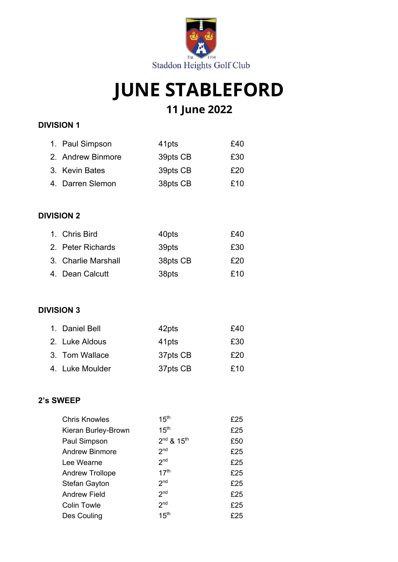

# **JUNE STABLEFORD**

## **11 June 2022**

### **DIVISION 1**

| 1. Paul Simpson   | 41 <sub>pts</sub> | £40 |
|-------------------|-------------------|-----|
| 2. Andrew Binmore | 39pts CB          | £30 |
| 3. Kevin Bates    | 39pts CB          | £20 |
| 4. Darren Slemon  | 38pts CB          | £10 |

### **DIVISION 2**

| 1. Chris Bird       | 40pts    | £40 |
|---------------------|----------|-----|
| 2. Peter Richards   | 39pts    | £30 |
| 3. Charlie Marshall | 38pts CB | £20 |
| 4. Dean Calcutt     | 38pts    | £10 |

#### **DIVISION 3**

| 1. Daniel Bell  | 42pts             | £40 |
|-----------------|-------------------|-----|
| 2. Luke Aldous  | 41 <sub>pts</sub> | £30 |
| 3. Tom Wallace  | 37pts CB          | £20 |
| 4. Luke Moulder | 37pts CB          | £10 |

#### **2's SWEEP**

| <b>Chris Knowles</b>   | 15 <sup>th</sup>                   | £25 |
|------------------------|------------------------------------|-----|
| Kieran Burley-Brown    | 15 <sup>th</sup>                   | £25 |
| Paul Simpson           | 2 <sup>nd</sup> & 15 <sup>th</sup> | £50 |
| <b>Andrew Binmore</b>  | 2 <sub>nd</sub>                    | £25 |
| Lee Wearne             | 2 <sub>nd</sub>                    | £25 |
| <b>Andrew Trollope</b> | 17 <sup>th</sup>                   | £25 |
| <b>Stefan Gayton</b>   | 2 <sub>nd</sub>                    | £25 |
| <b>Andrew Field</b>    | 2 <sub>nd</sub>                    | £25 |
| <b>Colin Towle</b>     | 2 <sub>nd</sub>                    | £25 |
| Des Couling            | 15 <sup>th</sup>                   | £25 |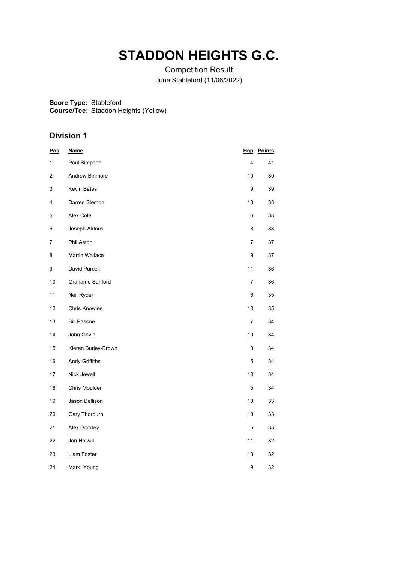# **STADDON HEIGHTS G.C.**

Competition Result June Stableford (11/06/2022)

**Score Type:** Stableford

**Course/Tee:** Staddon Heights (Yellow)

| <b>Pos</b> | <b>Name</b>            |                | <b>Hcp</b> Points |
|------------|------------------------|----------------|-------------------|
| 1          | Paul Simpson           | 4              | 41                |
| 2          | Andrew Binmore         | 10             | 39                |
| 3          | Kevin Bates            | 9              | 39                |
| 4          | Darren Slemon          | 10             | 38                |
| 5          | Alex Cole              | 6              | 38                |
| 6          | Joseph Aldous          | 8              | 38                |
| 7          | Phil Aston             | $\overline{7}$ | 37                |
| 8          | Martin Wallace         | 9              | 37                |
| 9          | David Purcell          | 11             | 36                |
| 10         | <b>Grahame Sanford</b> | 7              | 36                |
| 11         | Neil Ryder             | 6              | 35                |
| 12         | Chris Knowles          | 10             | 35                |
| 13         | <b>Bill Pascoe</b>     | 7              | 34                |
| 14         | John Gavin             | 10             | 34                |
| 15         | Kieran Burley-Brown    | 3              | 34                |
| 16         | Andy Griffiths         | 5              | 34                |
| 17         | Nick Jewell            | 10             | 34                |
| 18         | Chris Moulder          | 5              | 34                |
| 19         | Jason Bellison         | 10             | 33                |
| 20         | Gary Thorburn          | 10             | 33                |
| 21         | Alex Goodey            | $\mathbf 5$    | 33                |
| 22         | Jon Holwill            | 11             | 32                |
| 23         | Liam Foster            | 10             | 32                |
| 24         | Mark Young             | 9              | 32                |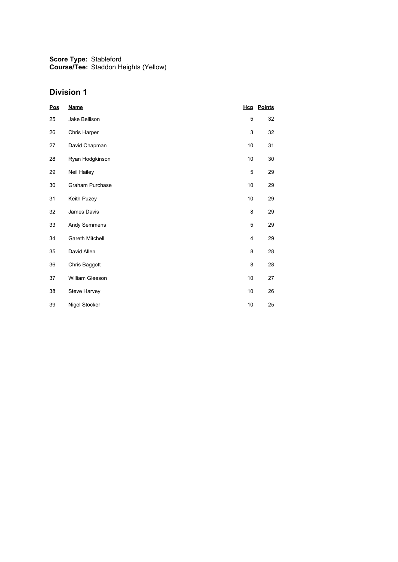| Pos | <b>Name</b>     |      | <b>Hcp</b> Points |
|-----|-----------------|------|-------------------|
| 25  | Jake Bellison   | 5    | 32                |
| 26  | Chris Harper    | 3    | 32                |
| 27  | David Chapman   | 10   | 31                |
| 28  | Ryan Hodgkinson | 10   | 30                |
| 29  | Neil Hailey     | 5    | 29                |
| 30  | Graham Purchase | 10   | 29                |
| 31  | Keith Puzey     | 10   | 29                |
| 32  | James Davis     | 8    | 29                |
| 33  | Andy Semmens    | 5    | 29                |
| 34  | Gareth Mitchell | 4    | 29                |
| 35  | David Allen     | 8    | 28                |
| 36  | Chris Baggott   | 8    | 28                |
| 37  | William Gleeson | 10   | 27                |
| 38  | Steve Harvey    | 10   | 26                |
| 39  | Nigel Stocker   | $10$ | 25                |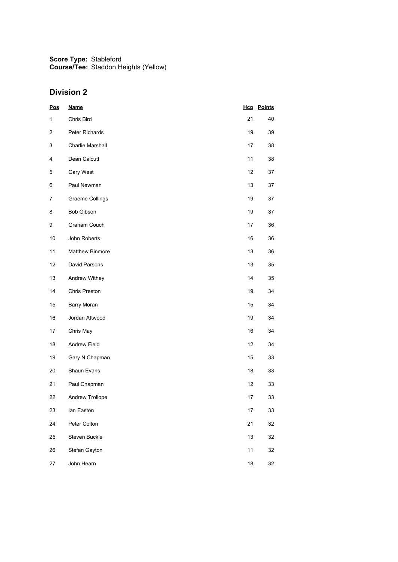| <b>Pos</b>   | <b>Name</b>             |        | <b>Hcp</b> Points |
|--------------|-------------------------|--------|-------------------|
| $\mathbf{1}$ | Chris Bird              | 21     | 40                |
| 2            | Peter Richards          | 19     | 39                |
| 3            | <b>Charlie Marshall</b> | 17     | 38                |
| 4            | Dean Calcutt            | 11     | 38                |
| 5            | Gary West               | 12     | 37                |
| 6            | Paul Newman             | 13     | 37                |
| 7            | Graeme Collings         | 19     | 37                |
| 8            | <b>Bob Gibson</b>       | 19     | 37                |
| 9            | Graham Couch            | 17     | 36                |
| $10$         | John Roberts            | 16     | 36                |
| 11           | <b>Matthew Binmore</b>  | 13     | 36                |
| 12           | David Parsons           | 13     | 35                |
| 13           | Andrew Withey           | 14     | 35                |
| 14           | Chris Preston           | 19     | 34                |
| 15           | Barry Moran             | 15     | 34                |
| 16           | Jordan Attwood          | 19     | 34                |
| 17           | Chris May               | 16     | 34                |
| 18           | Andrew Field            | 12     | 34                |
| 19           | Gary N Chapman          | 15     | 33                |
| 20           | Shaun Evans             | 18     | 33                |
| 21           | Paul Chapman            | 12     | 33                |
| 22           | Andrew Trollope         | 17     | 33                |
| 23           | lan Easton              | 17     | 33                |
| 24           | Peter Colton            | 21     | 32                |
| 25           | Steven Buckle           | 13     | 32                |
| 26           | Stefan Gayton           | 11     | 32                |
| 27           | John Hearn              | $18\,$ | 32                |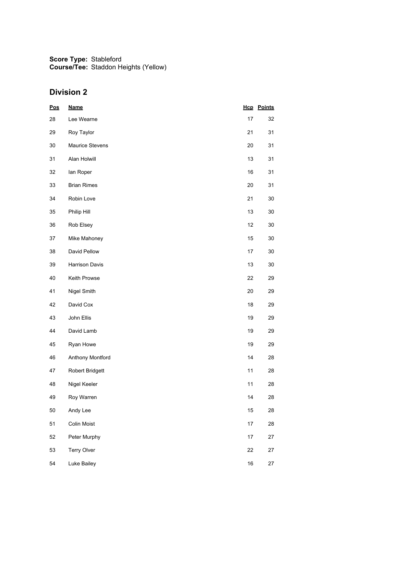| <b>Pos</b> | <b>Name</b>            |        | <b>Hcp</b> Points |
|------------|------------------------|--------|-------------------|
| 28         | Lee Wearne             | 17     | 32                |
| 29         | Roy Taylor             | 21     | 31                |
| 30         | <b>Maurice Stevens</b> | 20     | 31                |
| 31         | Alan Holwill           | 13     | 31                |
| 32         | lan Roper              | 16     | 31                |
| 33         | <b>Brian Rimes</b>     | 20     | 31                |
| 34         | Robin Love             | 21     | 30                |
| 35         | Philip Hill            | 13     | 30                |
| 36         | Rob Elsey              | 12     | $30\,$            |
| 37         | Mike Mahoney           | 15     | 30                |
| 38         | David Pellow           | 17     | 30                |
| 39         | Harrison Davis         | 13     | 30                |
| 40         | Keith Prowse           | 22     | 29                |
| 41         | Nigel Smith            | 20     | 29                |
| 42         | David Cox              | 18     | 29                |
| 43         | John Ellis             | 19     | 29                |
| 44         | David Lamb             | 19     | 29                |
| 45         | Ryan Howe              | 19     | 29                |
| 46         | Anthony Montford       | 14     | 28                |
| 47         | Robert Bridgett        | 11     | 28                |
| 48         | Nigel Keeler           | 11     | 28                |
| 49         | Roy Warren             | 14     | 28                |
| 50         | Andy Lee               | 15     | 28                |
| 51         | Colin Moist            | 17     | 28                |
| 52         | Peter Murphy           | 17     | 27                |
| 53         | <b>Terry Olver</b>     | 22     | 27                |
| 54         | Luke Bailey            | $16\,$ | 27                |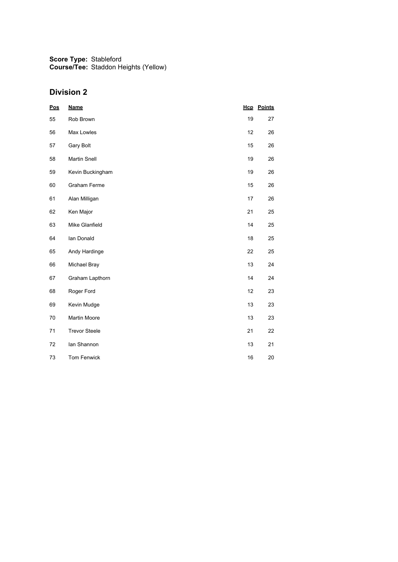| <b>Pos</b> | <b>Name</b>          |    | <b>Hcp</b> Points |
|------------|----------------------|----|-------------------|
| 55         | Rob Brown            | 19 | 27                |
| 56         | Max Lowles           | 12 | 26                |
| 57         | Gary Bolt            | 15 | 26                |
| 58         | <b>Martin Snell</b>  | 19 | 26                |
| 59         | Kevin Buckingham     | 19 | 26                |
| 60         | Graham Ferme         | 15 | 26                |
| 61         | Alan Milligan        | 17 | 26                |
| 62         | Ken Major            | 21 | 25                |
| 63         | Mike Glanfield       | 14 | 25                |
| 64         | lan Donald           | 18 | 25                |
| 65         | Andy Hardinge        | 22 | 25                |
| 66         | Michael Bray         | 13 | 24                |
| 67         | Graham Lapthorn      | 14 | 24                |
| 68         | Roger Ford           | 12 | 23                |
| 69         | Kevin Mudge          | 13 | 23                |
| 70         | Martin Moore         | 13 | 23                |
| 71         | <b>Trevor Steele</b> | 21 | 22                |
| 72         | lan Shannon          | 13 | 21                |
| 73         | <b>Tom Fenwick</b>   | 16 | 20                |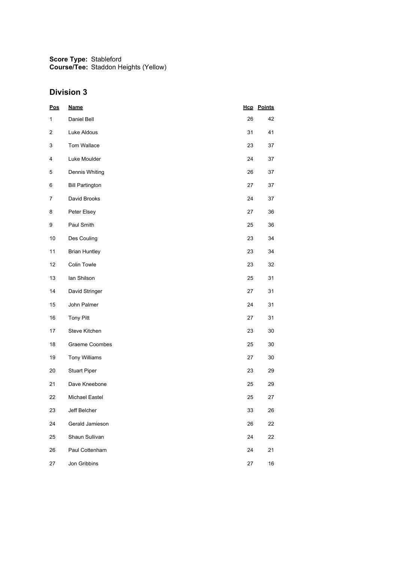| <u>Pos</u>   | <b>Name</b>            |    | <b>Hcp</b> Points |
|--------------|------------------------|----|-------------------|
| $\mathbf{1}$ | Daniel Bell            | 26 | 42                |
| 2            | Luke Aldous            | 31 | 41                |
| 3            | Tom Wallace            | 23 | 37                |
| 4            | Luke Moulder           | 24 | 37                |
| 5            | Dennis Whiting         | 26 | 37                |
| 6            | <b>Bill Partington</b> | 27 | 37                |
| 7            | David Brooks           | 24 | 37                |
| 8            | Peter Elsey            | 27 | 36                |
| 9            | Paul Smith             | 25 | 36                |
| 10           | Des Couling            | 23 | 34                |
| 11           | <b>Brian Huntley</b>   | 23 | 34                |
| 12           | Colin Towle            | 23 | 32                |
| 13           | lan Shilson            | 25 | 31                |
| 14           | David Stringer         | 27 | 31                |
| 15           | John Palmer            | 24 | 31                |
| $16\,$       | Tony Pitt              | 27 | 31                |
| 17           | Steve Kitchen          | 23 | 30                |
| 18           | <b>Graeme Coombes</b>  | 25 | 30                |
| 19           | <b>Tony Williams</b>   | 27 | 30                |
| 20           | <b>Stuart Piper</b>    | 23 | 29                |
| 21           | Dave Kneebone          | 25 | 29                |
| 22           | Michael Eastel         | 25 | 27                |
| 23           | Jeff Belcher           | 33 | 26                |
| 24           | Gerald Jamieson        | 26 | 22                |
| 25           | Shaun Sullivan         | 24 | 22                |
| 26           | Paul Cottenham         | 24 | 21                |
| 27           | Jon Gribbins           | 27 | 16                |